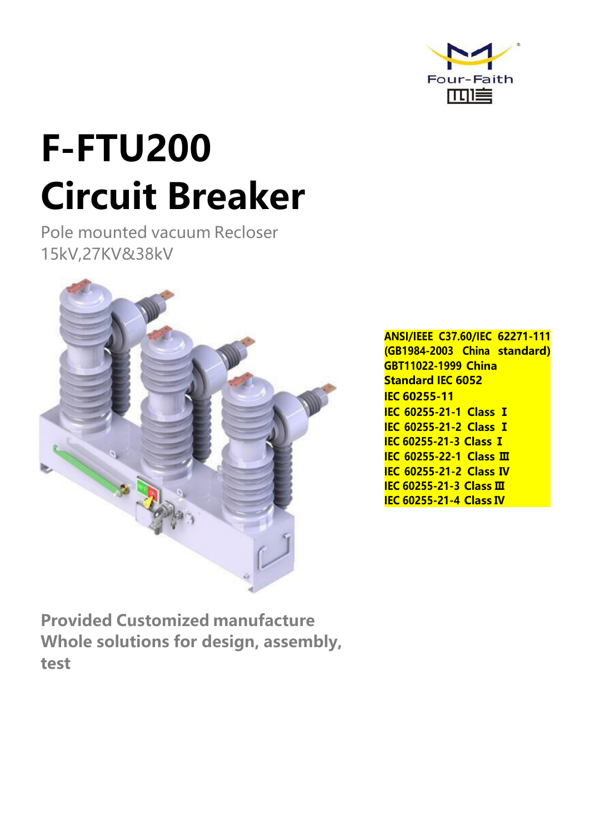

# **F-FTU200 Circuit Breaker**

Pole mounted vacuum Recloser 15kV,27KV&38kV



**ANSI/IEEE C37.60/IEC 62271-111 (GB1984-2003 China standard) GBT11022-1999 China Standard IEC 6052 IEC 60255-11 IEC 60255-21-1 Class Ⅰ IEC 60255-21-2 Class Ⅰ IEC 60255-21-3 Class Ⅰ IEC 60255-22-1 Class Ⅲ IEC 60255-21-2 Class Ⅳ IEC 60255-21-3 Class Ⅲ IEC 60255-21-4 Class Ⅳ**

**Provided Customized manufacture Whole solutions for design, assembly, test**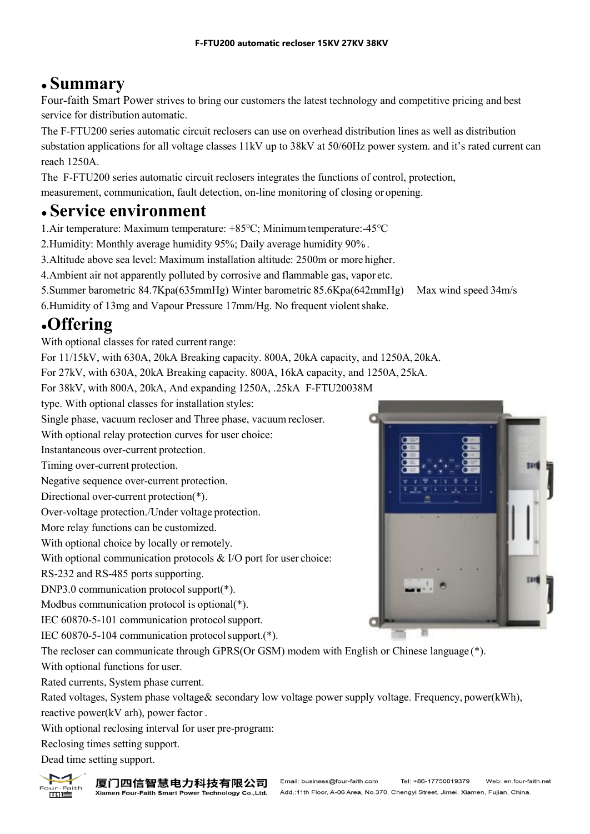### ● **Summary**

Four-faith Smart Power strives to bring our customers the latest technology and competitive pricing and best service for distribution automatic.

The F-FTU200 series automatic circuit reclosers can use on overhead distribution lines as well as distribution substation applications for all voltage classes 11kV up to 38kV at 50/60Hz power system. and it's rated current can reach 1250A.

The F-FTU200 series automatic circuit reclosers integrates the functions of control, protection,

measurement, communication, fault detection, on-line monitoring of closing or opening.

#### ● **Service environment**

1.Air temperature: Maximum temperature: +85℃; Minimumtemperature:-45℃

2.Humidity: Monthly average humidity 95%; Daily average humidity 90% .

3.Altitude above sea level: Maximum installation altitude: 2500m or more higher.

4.Ambient air not apparently polluted by corrosive and flammable gas, vapor etc.

5.Summer barometric 84.7Kpa(635mmHg) Winter barometric 85.6Kpa(642mmHg) Max wind speed 34m/s

6. Humidity of 13mg and Vapour Pressure 17mm/Hg. No frequent violent shake.

#### ●**Offering**

With optional classes for rated current range:

For 11/15kV, with 630A, 20kA Breaking capacity. 800A, 20kA capacity, and 1250A, 20kA.

For 27kV, with 630A, 20kA Breaking capacity. 800A, 16kA capacity, and 1250A, 25kA.

For 38kV, with 800A, 20kA, And expanding 1250A, .25kA F-FTU20038M

type. With optional classes for installation styles:

Single phase, vacuum recloser and Three phase, vacuum recloser.

With optional relay protection curves for user choice:

Instantaneous over-current protection.

Timing over-current protection.

Negative sequence over-current protection.

Directional over-current protection(\*).

Over-voltage protection./Under voltage protection.

More relay functions can be customized.

With optional choice by locally or remotely.

With optional communication protocols  $& I/O$  port for user choice:

RS-232 and RS-485 ports supporting.

DNP3.0 communication protocol support(\*).

Modbus communication protocol is optional(\*).

IEC 60870-5-101 communication protocolsupport.

IEC 60870-5-104 communication protocolsupport.(\*).

The recloser can communicate through GPRS(Or GSM) modem with Englishor Chinese language (\*). With optional functions for user.

Rated currents, System phase current.

Rated voltages, System phase voltage& secondary low voltage power supply voltage. Frequency, power(kWh), reactive power(kV arh), power factor.

With optional reclosing interval for user pre-program:

Reclosing times setting support.

Dead time setting support.





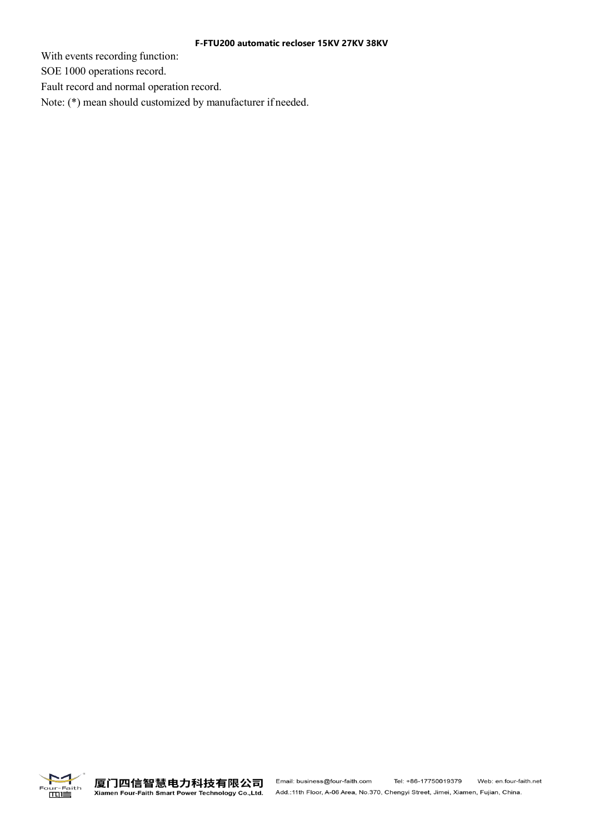#### **F-FTU200 automatic recloser 15KV 27KV 38KV**

With events recording function:

SOE 1000 operations record.

Fault record and normal operation record.

Note: (\*) mean should customized by manufacturer if needed.

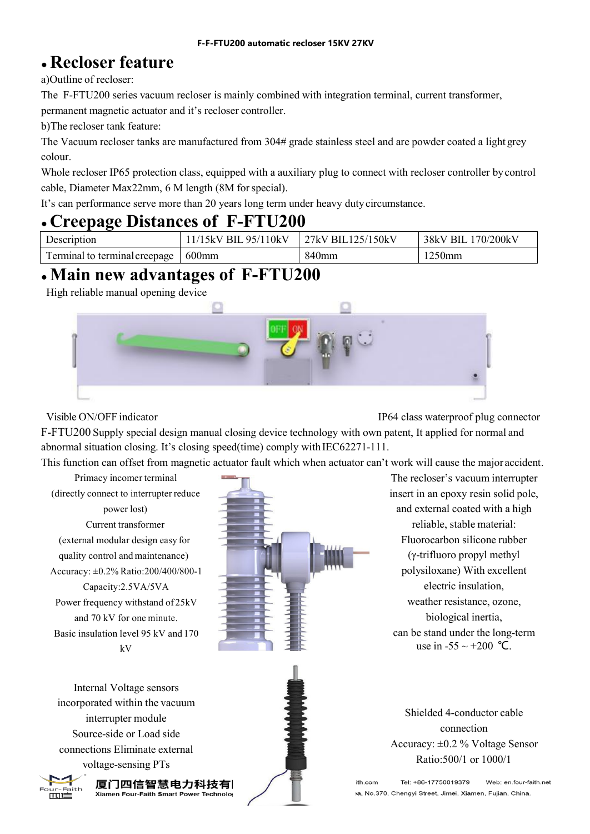#### ● **Recloser feature**

a)Outline of recloser:

The F-FTU200 series vacuum recloser is mainly combined with integration terminal, current transformer,

permanent magnetic actuator and it's recloser controller.

b)The recloser tank feature:

The Vacuum recloser tanks are manufactured from 304# grade stainless steel and are powder coated a light grey colour.

Whole recloser IP65 protection class, equipped with a auxiliary plug to connect with recloser controller by control cable, Diameter Max22mm, 6 M length (8M forspecial).

It's can performance serve more than 20 years long term under heavy dutycircumstance.

#### ● **Creepage Distances of F-FTU200**

| r<br>ription                                            | .110kV<br>RI<br>$\overline{\mathbf{u}}$<br>ֿאר | 50kV<br>25 <sub>i</sub><br>RI<br>7kV | 200kV<br>38k<br>70<br>Bl<br> |
|---------------------------------------------------------|------------------------------------------------|--------------------------------------|------------------------------|
| $\mathbf{r}$<br>l creenage<br>terminal<br>mınal<br>-1.0 | $600$ mm                                       | mn                                   | 50mm                         |

#### $\cdot$  Main new advantages of F-FTU200

High reliable manual opening device



Visible ON/OFF indicator IP64 class waterproof plug connector

F-FTU200 Supply special design manual closing device technology with own patent, It applied for normal and abnormal situation closing. It's closing speed(time) comply with IEC62271-111.

This function can offset from magnetic actuator fault which when actuator can't work will cause the major accident.

Primacy incomer terminal (directly connect to interrupter reduce power lost) Current transformer (external modular design easy for quality control and maintenance) Accuracy: ±0.2% Ratio:200/400/800-1 Capacity:2.5VA/5VA Power frequency withstand of 25kV and 70 kV for one minute. Basic insulation level 95 kV and 170 kV



The recloser's vacuum interrupter insert in an epoxy resin solid pole, and external coated with a high reliable, stable material: Fluorocarbon silicone rubber (γ-trifluoro propyl methyl polysiloxane) With excellent electric insulation, weather resistance, ozone, biological inertia, can be stand under the long-term

Internal Voltage sensors incorporated within the vacuum interrupter module Source-side or Load side connections Eliminate external voltage-sensing PTs



厦门四信智慧电力科技有| Xiamen Four-Faith Smart Power Technolo

use in -55 ~ +200 °C.<br>Shielded 4-conductor cable connection Accuracy: ±0.2 % Voltage Sensor Ratio:500/1 or 1000/1

Web: en.four-faith.net Tel: +86-17750019379 ith.com la, No.370, Chengyi Street, Jimei, Xiamen, Fujian, China,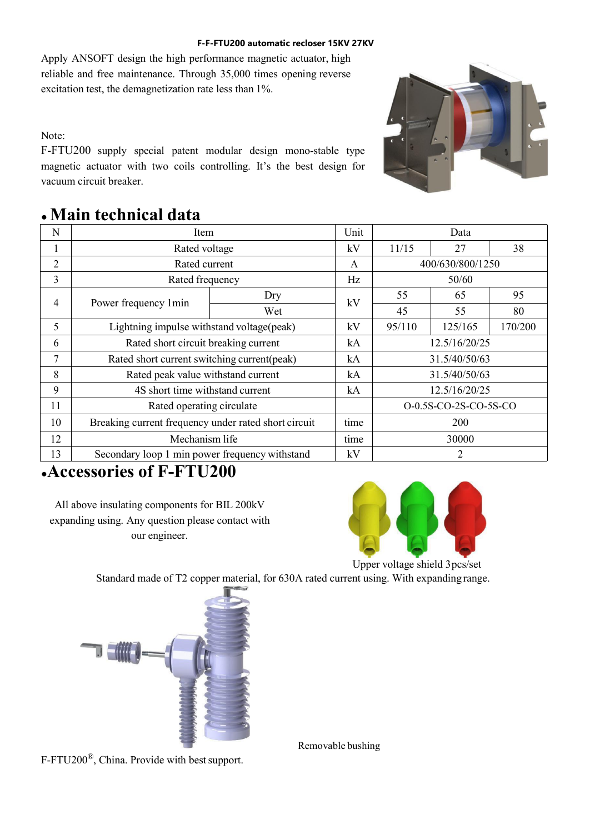#### **F-F-FTU200 automatic recloser 15KV 27KV**

Apply ANSOFT design the high performance magnetic actuator, high reliable and free maintenance. Through 35,000 times opening reverse excitation test, the demagnetization rate less than 1%.

Note:

F-FTU200 supply special patent modular design mono-stable type magnetic actuator with two coils controlling. It's the best design for vacuum circuit breaker.



#### ●**Main technical data**

| N                         | Item                                                 |     | Unit | Data                  |         |         |
|---------------------------|------------------------------------------------------|-----|------|-----------------------|---------|---------|
|                           | Rated voltage                                        |     | kV   | 11/15                 | 27      | 38      |
| 2                         | Rated current                                        |     | A    | 400/630/800/1250      |         |         |
| 3                         | Rated frequency                                      |     | Hz   | 50/60                 |         |         |
| Power frequency 1min<br>4 |                                                      | Dry |      | 55                    | 65      | 95      |
|                           |                                                      | Wet | kV   | 45                    | 55      | 80      |
| 5                         | Lightning impulse withstand voltage(peak)            |     | kV   | 95/110                | 125/165 | 170/200 |
| 6                         | Rated short circuit breaking current                 |     | kA   | 12.5/16/20/25         |         |         |
| 7                         | Rated short current switching current(peak)          |     | kA   | 31.5/40/50/63         |         |         |
| 8                         | Rated peak value withstand current                   |     | kA   | 31.5/40/50/63         |         |         |
| 9                         | 4S short time withstand current                      |     | kA   | 12.5/16/20/25         |         |         |
| 11                        | Rated operating circulate                            |     |      | O-0.5S-CO-2S-CO-5S-CO |         |         |
| 10                        | Breaking current frequency under rated short circuit |     | time | 200                   |         |         |
| 12                        | Mechanism life                                       |     | time | 30000                 |         |         |
| 13                        | Secondary loop 1 min power frequency withstand       |     |      |                       |         |         |

#### ●**Accessories ofF-FTU200**

All above insulating components for BIL 200kV expanding using. Any question please contact with our engineer.



Upper voltage shield 3pcs/set Standard made of T2 copper material, for 630A rated current using. With expanding range.



F-FTU200<sup>®</sup>, China. Provide with best support.

Removable bushing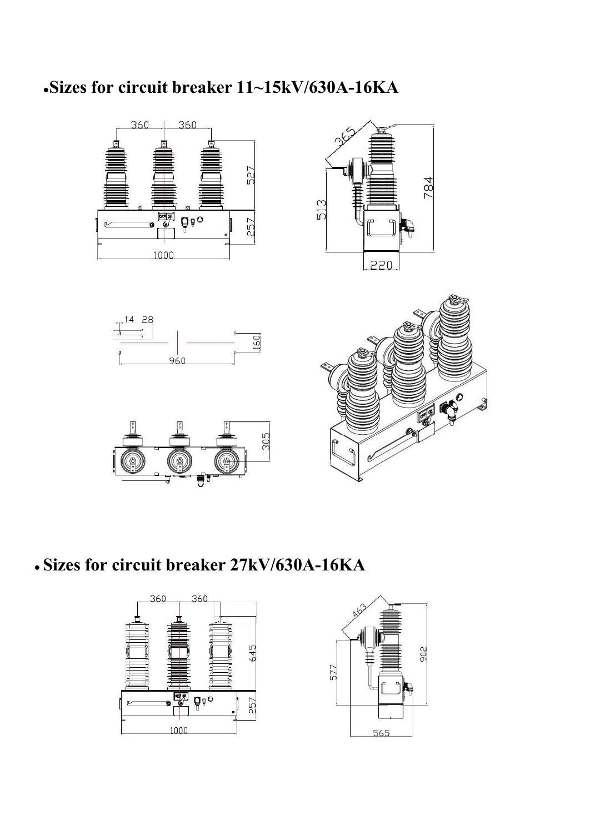# **●Sizes for circuit breaker 11~15kV/630A-16KA**



# ● **Sizes for circuit breaker 27kV/630A-16KA**